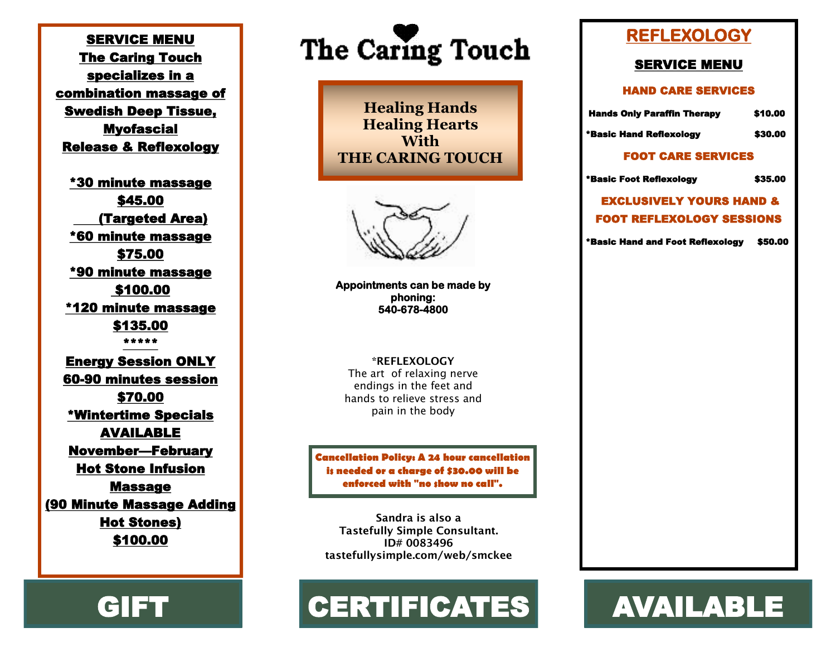SERVICE MENU The Caring Touch specializes in a combination massage of Swedish Deep Tissue, Myofascial Release & Reflexology

\*30 minute massage \$45.00 (Targeted Area) \*60 minute massage \$75.00 \*90 minute massage \$100.00 \*120 minute massage \$135.00 \*\*\*\*\* Energy Session ONLY 60-90 minutes session \$70.00 \*Wintertime Specials AVAILABLE November—February Hot Stone Infusion Massage (90 Minute Massage Adding Hot Stones) \$100.00



**Healing Hands Healing Hearts With THE CARING TOUCH**

**Appointments can be made by phoning: 540-678-4800**

**\*REFLEXOLOGY** The art of relaxing nerve endings in the feet and hands to relieve stress and pain in the body

**Cancellation Policy: A 24 hour cancellation is needed or a charge of \$30.00 will be enforced with "no show no call".**

**Sandra is also a Tastefully Simple Consultant. ID# 0083496 tastefullysimple.com/web/smckee**

# GIFT | CERTIFICATES | AVAILABLE

### **REFLEXOLOGY**

#### SERVICE MENU

#### HAND CARE SERVICES

Hands Only Paraffin Therapy \$10.00

\*Basic Hand Reflexology \$30.00

#### FOOT CARE SERVICES

\*Basic Foot Reflexology \$35.00

 EXCLUSIVELY YOURS HAND & FOOT REFLEXOLOGY SESSIONS

\*Basic Hand and Foot Reflexology \$50.00